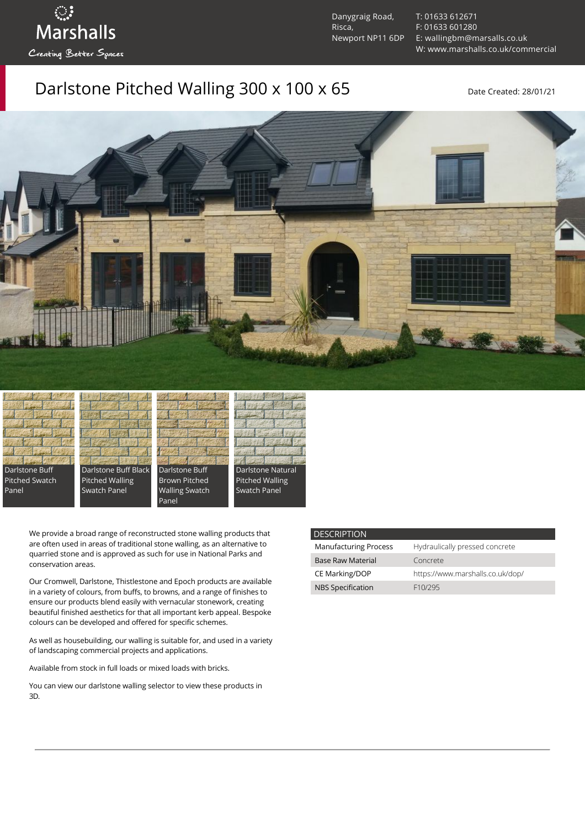ुः<br>Marshalls Creating Better Spaces

Danygraig Road, Risca, Newport NP11 6DP [T: 01633 612671](tel:01633%20612671) [F: 01633 601280](tel:01633%20601280) [E: wallingbm@marsalls.co.uk](mailto:wallingbm@marsalls.co.uk) [W: www.marshalls.co.uk/commercial](https://www.marshalls.co.uk/commercial)

# Darlstone Pitched Walling 300 x 100 x 65 Date Created: 28/01/21















We provide a broad range of reconstructed stone walling products that are often used in areas of traditional stone walling, as an alternative to quarried stone and is approved as such for use in National Parks and conservation areas.

Our [Cromwell](https://www.marshalls.co.uk/commercial/product/cromwell-stone-walling), Darlstone, [Thistlestone](https://www.marshalls.co.uk/commercial/product/thistlestone-stone-walling) and Epoch products are available in a variety of colours, from buffs, to browns, and a range of finishes to ensure our products blend easily with vernacular stonework, creating beautiful finished aesthetics for that all important kerb appeal. Bespoke colours can be developed and offered for specific schemes.

As well as housebuilding, our walling is suitable for, and used in a variety of landscaping commercial projects and applications.

Available from stock in full loads or mixed loads with bricks.

You can view our [darlstone walling selector](https://www.paverpicker.com/paverpicker/?u=edenhall&cat=walling&subcat=darlstone_walling) to view these products in 3D.

### **DESCRIPTION**

| <b>Manufacturing Process</b> | Hydraulically pressed concrete   |
|------------------------------|----------------------------------|
| <b>Base Raw Material</b>     | Concrete                         |
| CE Marking/DOP               | https://www.marshalls.co.uk/dop/ |
| <b>NBS Specification</b>     | F <sub>10</sub> /295             |